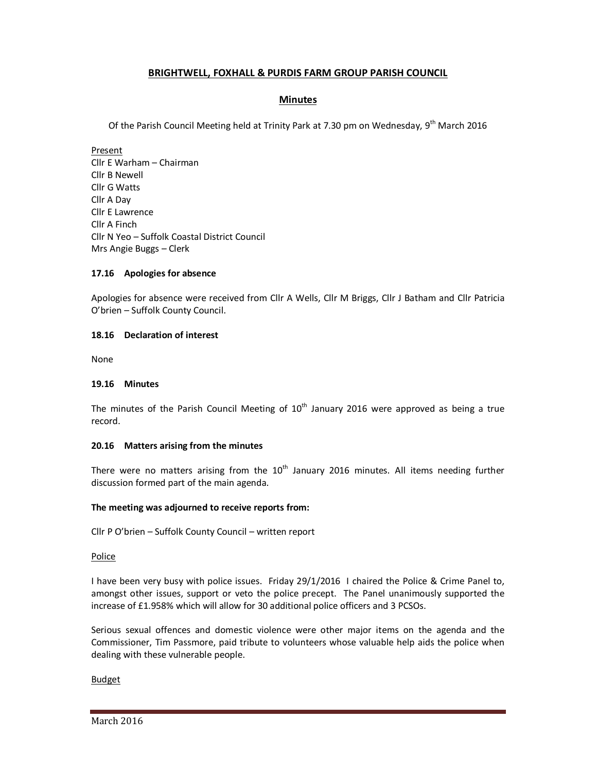# **BRIGHTWELL, FOXHALL & PURDIS FARM GROUP PARISH COUNCIL**

# **Minutes**

Of the Parish Council Meeting held at Trinity Park at 7.30 pm on Wednesday, 9<sup>th</sup> March 2016

Present Cllr E Warham – Chairman Cllr B Newell Cllr G Watts Cllr A Day Cllr E Lawrence Cllr A Finch Cllr N Yeo – Suffolk Coastal District Council Mrs Angie Buggs – Clerk

## **17.16 Apologies for absence**

Apologies for absence were received from Cllr A Wells, Cllr M Briggs, Cllr J Batham and Cllr Patricia O'brien – Suffolk County Council.

## **18.16 Declaration of interest**

None

## **19.16 Minutes**

The minutes of the Parish Council Meeting of  $10<sup>th</sup>$  January 2016 were approved as being a true record.

## **20.16 Matters arising from the minutes**

There were no matters arising from the  $10<sup>th</sup>$  January 2016 minutes. All items needing further discussion formed part of the main agenda.

## **The meeting was adjourned to receive reports from:**

Cllr P O'brien – Suffolk County Council – written report

#### Police

I have been very busy with police issues. Friday 29/1/2016 I chaired the Police & Crime Panel to, amongst other issues, support or veto the police precept. The Panel unanimously supported the increase of £1.958% which will allow for 30 additional police officers and 3 PCSOs.

Serious sexual offences and domestic violence were other major items on the agenda and the Commissioner, Tim Passmore, paid tribute to volunteers whose valuable help aids the police when dealing with these vulnerable people.

## Budget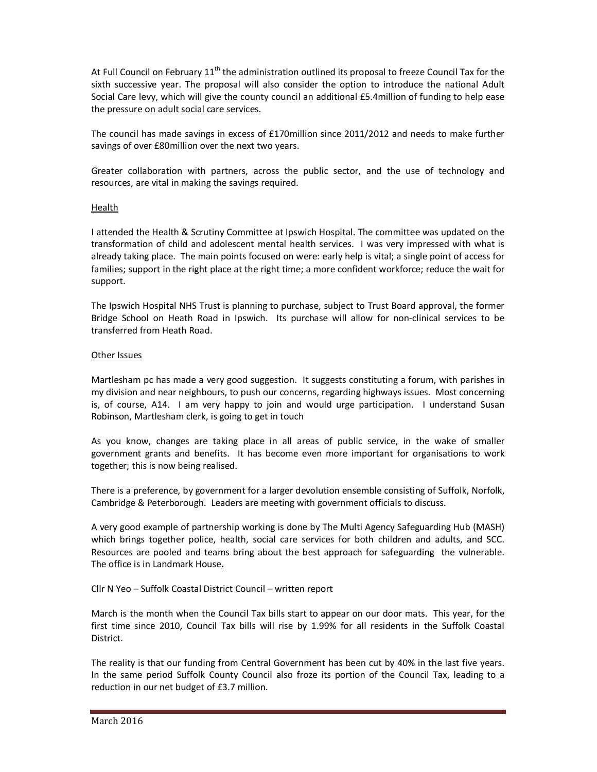At Full Council on February 11<sup>th</sup> the administration outlined its proposal to freeze Council Tax for the sixth successive year. The proposal will also consider the option to introduce the national Adult Social Care levy, which will give the county council an additional £5.4million of funding to help ease the pressure on adult social care services.

The council has made savings in excess of £170million since 2011/2012 and needs to make further savings of over £80million over the next two years.

Greater collaboration with partners, across the public sector, and the use of technology and resources, are vital in making the savings required.

## Health

I attended the Health & Scrutiny Committee at Ipswich Hospital. The committee was updated on the transformation of child and adolescent mental health services. I was very impressed with what is already taking place. The main points focused on were: early help is vital; a single point of access for families; support in the right place at the right time; a more confident workforce; reduce the wait for support.

The Ipswich Hospital NHS Trust is planning to purchase, subject to Trust Board approval, the former Bridge School on Heath Road in Ipswich. Its purchase will allow for non-clinical services to be transferred from Heath Road.

## Other Issues

Martlesham pc has made a very good suggestion. It suggests constituting a forum, with parishes in my division and near neighbours, to push our concerns, regarding highways issues. Most concerning is, of course, A14. I am very happy to join and would urge participation. I understand Susan Robinson, Martlesham clerk, is going to get in touch

As you know, changes are taking place in all areas of public service, in the wake of smaller government grants and benefits. It has become even more important for organisations to work together; this is now being realised.

There is a preference, by government for a larger devolution ensemble consisting of Suffolk, Norfolk, Cambridge & Peterborough. Leaders are meeting with government officials to discuss.

A very good example of partnership working is done by The Multi Agency Safeguarding Hub (MASH) which brings together police, health, social care services for both children and adults, and SCC. Resources are pooled and teams bring about the best approach for safeguarding the vulnerable. The office is in Landmark House**.**

## Cllr N Yeo – Suffolk Coastal District Council – written report

March is the month when the Council Tax bills start to appear on our door mats. This year, for the first time since 2010, Council Tax bills will rise by 1.99% for all residents in the Suffolk Coastal District.

The reality is that our funding from Central Government has been cut by 40% in the last five years. In the same period Suffolk County Council also froze its portion of the Council Tax, leading to a reduction in our net budget of £3.7 million.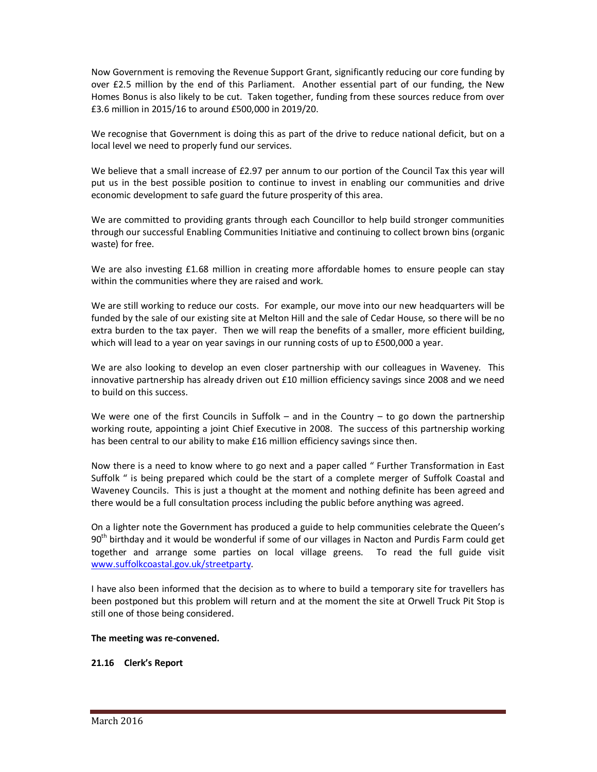Now Government is removing the Revenue Support Grant, significantly reducing our core funding by over £2.5 million by the end of this Parliament. Another essential part of our funding, the New Homes Bonus is also likely to be cut. Taken together, funding from these sources reduce from over £3.6 million in 2015/16 to around £500,000 in 2019/20.

We recognise that Government is doing this as part of the drive to reduce national deficit, but on a local level we need to properly fund our services.

We believe that a small increase of £2.97 per annum to our portion of the Council Tax this year will put us in the best possible position to continue to invest in enabling our communities and drive economic development to safe guard the future prosperity of this area.

We are committed to providing grants through each Councillor to help build stronger communities through our successful Enabling Communities Initiative and continuing to collect brown bins (organic waste) for free.

We are also investing £1.68 million in creating more affordable homes to ensure people can stay within the communities where they are raised and work.

We are still working to reduce our costs. For example, our move into our new headquarters will be funded by the sale of our existing site at Melton Hill and the sale of Cedar House, so there will be no extra burden to the tax payer. Then we will reap the benefits of a smaller, more efficient building, which will lead to a year on year savings in our running costs of up to £500,000 a year.

We are also looking to develop an even closer partnership with our colleagues in Waveney. This innovative partnership has already driven out £10 million efficiency savings since 2008 and we need to build on this success.

We were one of the first Councils in Suffolk – and in the Country – to go down the partnership working route, appointing a joint Chief Executive in 2008. The success of this partnership working has been central to our ability to make £16 million efficiency savings since then.

Now there is a need to know where to go next and a paper called " Further Transformation in East Suffolk " is being prepared which could be the start of a complete merger of Suffolk Coastal and Waveney Councils. This is just a thought at the moment and nothing definite has been agreed and there would be a full consultation process including the public before anything was agreed.

On a lighter note the Government has produced a guide to help communities celebrate the Queen's  $90<sup>th</sup>$  birthday and it would be wonderful if some of our villages in Nacton and Purdis Farm could get together and arrange some parties on local village greens. To read the full guide visit www.suffolkcoastal.gov.uk/streetparty.

I have also been informed that the decision as to where to build a temporary site for travellers has been postponed but this problem will return and at the moment the site at Orwell Truck Pit Stop is still one of those being considered.

## **The meeting was re-convened.**

## **21.16 Clerk's Report**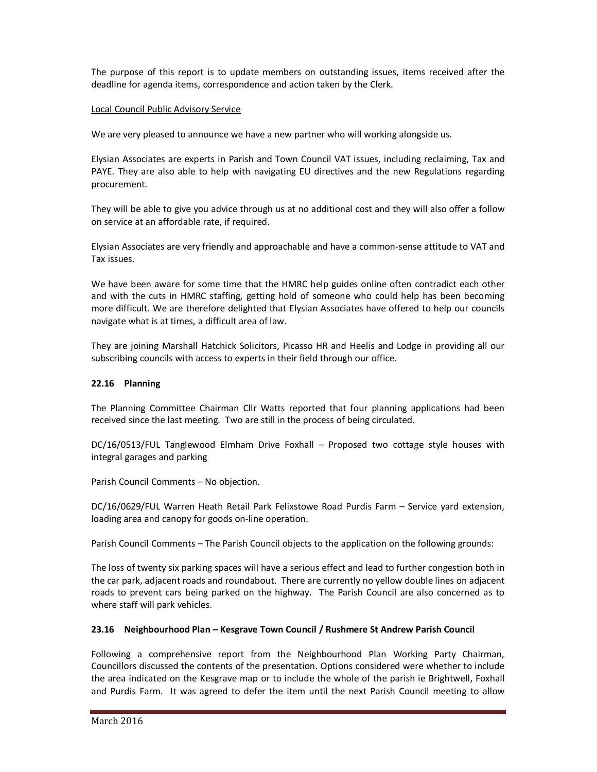The purpose of this report is to update members on outstanding issues, items received after the deadline for agenda items, correspondence and action taken by the Clerk.

## Local Council Public Advisory Service

We are very pleased to announce we have a new partner who will working alongside us.

Elysian Associates are experts in Parish and Town Council VAT issues, including reclaiming, Tax and PAYE. They are also able to help with navigating EU directives and the new Regulations regarding procurement.

They will be able to give you advice through us at no additional cost and they will also offer a follow on service at an affordable rate, if required.

Elysian Associates are very friendly and approachable and have a common-sense attitude to VAT and Tax issues.

We have been aware for some time that the HMRC help guides online often contradict each other and with the cuts in HMRC staffing, getting hold of someone who could help has been becoming more difficult. We are therefore delighted that Elysian Associates have offered to help our councils navigate what is at times, a difficult area of law.

They are joining Marshall Hatchick Solicitors, Picasso HR and Heelis and Lodge in providing all our subscribing councils with access to experts in their field through our office.

## **22.16 Planning**

The Planning Committee Chairman Cllr Watts reported that four planning applications had been received since the last meeting. Two are still in the process of being circulated.

DC/16/0513/FUL Tanglewood Elmham Drive Foxhall – Proposed two cottage style houses with integral garages and parking

Parish Council Comments – No objection.

DC/16/0629/FUL Warren Heath Retail Park Felixstowe Road Purdis Farm – Service yard extension, loading area and canopy for goods on-line operation.

Parish Council Comments – The Parish Council objects to the application on the following grounds:

The loss of twenty six parking spaces will have a serious effect and lead to further congestion both in the car park, adjacent roads and roundabout. There are currently no yellow double lines on adjacent roads to prevent cars being parked on the highway. The Parish Council are also concerned as to where staff will park vehicles.

## **23.16 Neighbourhood Plan – Kesgrave Town Council / Rushmere St Andrew Parish Council**

Following a comprehensive report from the Neighbourhood Plan Working Party Chairman, Councillors discussed the contents of the presentation. Options considered were whether to include the area indicated on the Kesgrave map or to include the whole of the parish ie Brightwell, Foxhall and Purdis Farm. It was agreed to defer the item until the next Parish Council meeting to allow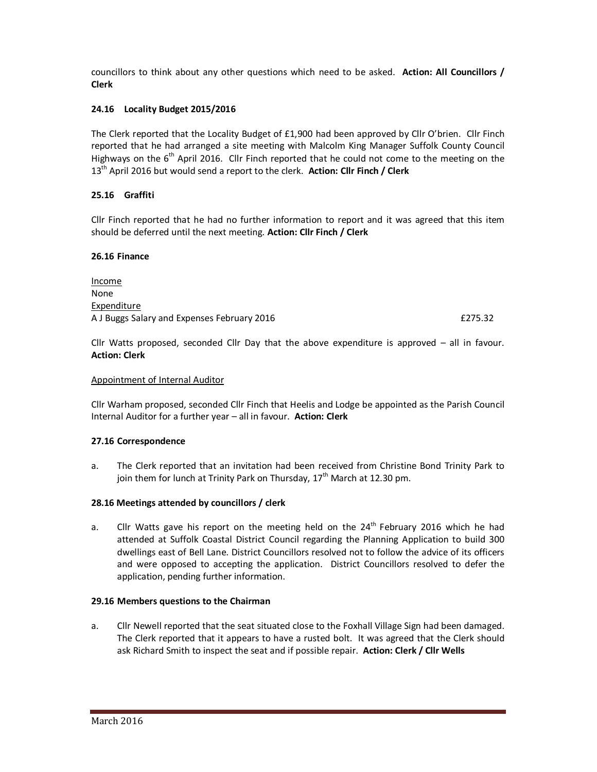councillors to think about any other questions which need to be asked. **Action: All Councillors / Clerk**

## **24.16 Locality Budget 2015/2016**

The Clerk reported that the Locality Budget of £1,900 had been approved by Cllr O'brien. Cllr Finch reported that he had arranged a site meeting with Malcolm King Manager Suffolk County Council Highways on the  $6<sup>th</sup>$  April 2016. Cllr Finch reported that he could not come to the meeting on the 13<sup>th</sup> April 2016 but would send a report to the clerk. **Action: Cllr Finch / Clerk** 

## **25.16 Graffiti**

Cllr Finch reported that he had no further information to report and it was agreed that this item should be deferred until the next meeting. **Action: Cllr Finch / Clerk** 

#### **26.16 Finance**

Income None Expenditure A J Buggs Salary and Expenses February 2016 **Example 2016 EXPLAYER 10** E275.32

Cllr Watts proposed, seconded Cllr Day that the above expenditure is approved – all in favour. **Action: Clerk** 

#### Appointment of Internal Auditor

Cllr Warham proposed, seconded Cllr Finch that Heelis and Lodge be appointed as the Parish Council Internal Auditor for a further year – all in favour. **Action: Clerk** 

## **27.16 Correspondence**

a. The Clerk reported that an invitation had been received from Christine Bond Trinity Park to join them for lunch at Trinity Park on Thursday,  $17<sup>th</sup>$  March at 12.30 pm.

## **28.16 Meetings attended by councillors / clerk**

a. Cllr Watts gave his report on the meeting held on the  $24<sup>th</sup>$  February 2016 which he had attended at Suffolk Coastal District Council regarding the Planning Application to build 300 dwellings east of Bell Lane. District Councillors resolved not to follow the advice of its officers and were opposed to accepting the application. District Councillors resolved to defer the application, pending further information.

#### **29.16 Members questions to the Chairman**

a. Cllr Newell reported that the seat situated close to the Foxhall Village Sign had been damaged. The Clerk reported that it appears to have a rusted bolt. It was agreed that the Clerk should ask Richard Smith to inspect the seat and if possible repair. **Action: Clerk / Cllr Wells**